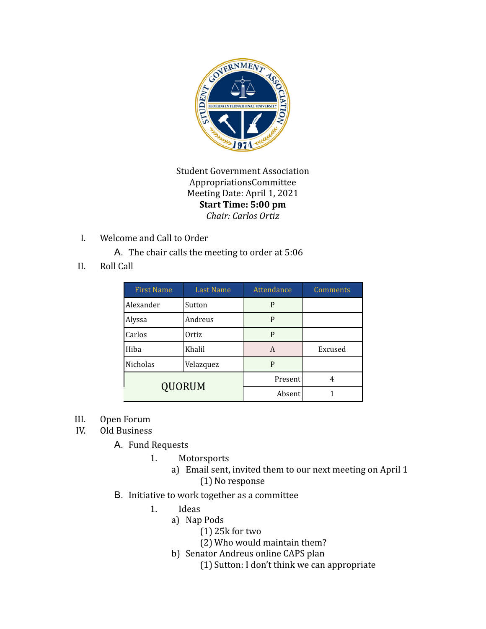

Student Government Association AppropriationsCommittee Meeting Date: April 1, 2021 **Start Time: 5:00 pm** *Chair: Carlos Ortiz*

I. Welcome and Call to Order

A. The chair calls the meeting to order at 5:06

II. Roll Call

| <b>First Name</b> | <b>Last Name</b> | Attendance | <b>Comments</b> |
|-------------------|------------------|------------|-----------------|
| Alexander         | Sutton           | P          |                 |
| Alyssa            | Andreus          | P          |                 |
| Carlos            | Ortiz            | P          |                 |
| Hiba              | Khalil           | A          | Excused         |
| Nicholas          | Velazquez        | P          |                 |
| <b>QUORUM</b>     |                  | Present    | 4               |
|                   |                  | Absent     |                 |

- III. Open Forum
- IV. Old Business

A. Fund Requests

- 1. Motorsports
	- a) Email sent, invited them to our next meeting on April 1 (1) No response
- B. Initiative to work together as a committee
	- 1. Ideas
		- a) Nap Pods
			- (1) 25k for two
			- (2) Who would maintain them?
		- b) Senator Andreus online CAPS plan
			- (1) Sutton: I don't think we can appropriate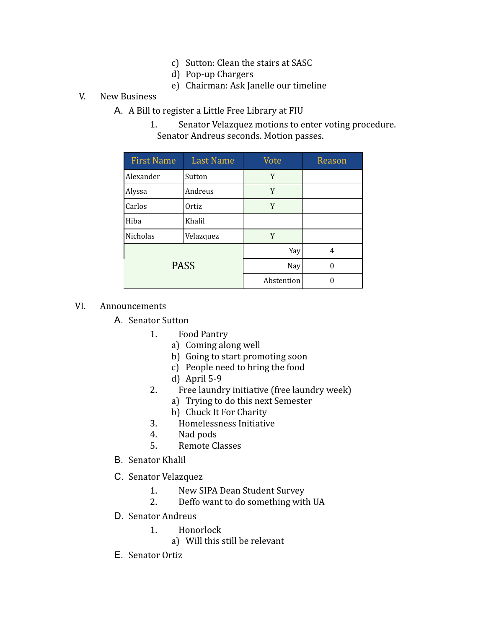- c) Sutton: Clean the stairs at SASC
- d) Pop-up Chargers
- e) Chairman: Ask Janelle our timeline

### V. New Business

- A. A Bill to register a Little Free Library at FIU
	- 1. Senator Velazquez motions to enter voting procedure. Senator Andreus seconds. Motion passes.

| <b>First Name</b> | <b>Last Name</b> | Vote       | Reason |
|-------------------|------------------|------------|--------|
| Alexander         | Sutton           | Y          |        |
| Alyssa            | Andreus          | Y          |        |
| Carlos            | Ortiz            | Y          |        |
| Hiba              | Khalil           |            |        |
| Nicholas          | Velazquez        | Y          |        |
| <b>PASS</b>       |                  | Yay        | 4      |
|                   |                  | Nay        |        |
|                   |                  | Abstention |        |

### VI. Announcements

A. Senator Sutton

- 1. Food Pantry
	- a) Coming along well
	- b) Going to start promoting soon
	- c) People need to bring the food
	- d) April 5-9
- 2. Free laundry initiative (free laundry week)
	- a) Trying to do this next Semester
	- b) Chuck It For Charity
- 3. Homelessness Initiative
- 4. Nad pods
- 5. Remote Classes
- B. Senator Khalil
- C. Senator Velazquez
	- 1. New SIPA Dean Student Survey
	- 2. Deffo want to do something with UA
- D. Senator Andreus
	- 1. Honorlock
		- a) Will this still be relevant
- E. Senator Ortiz